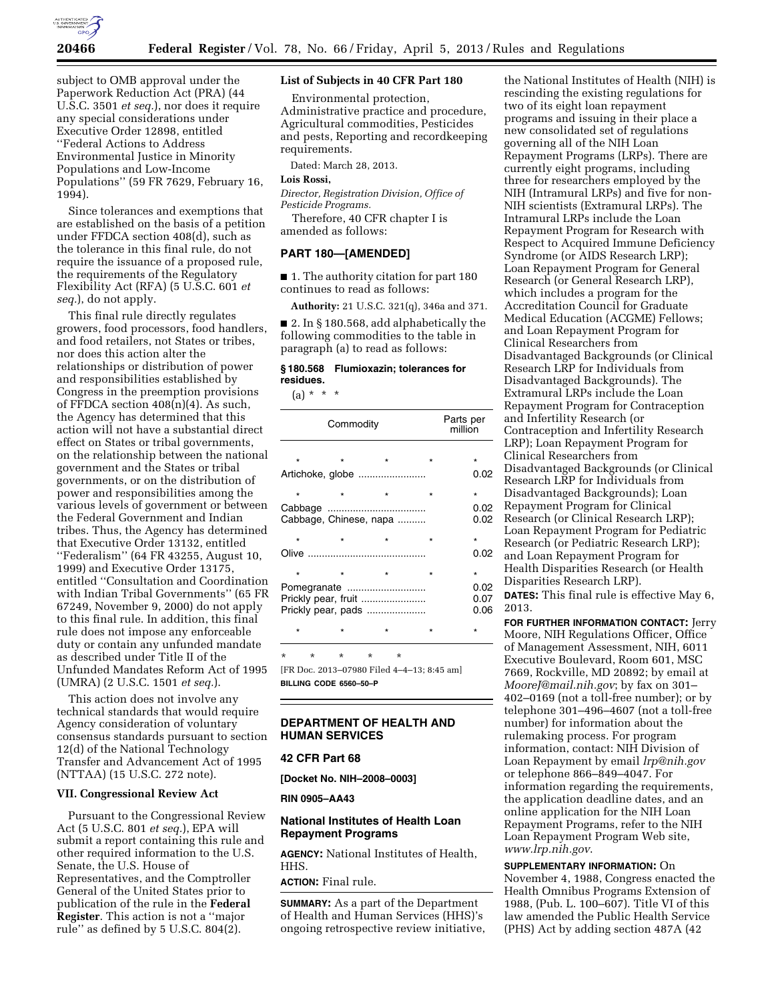

subject to OMB approval under the Paperwork Reduction Act (PRA) (44 U.S.C. 3501 *et seq.*), nor does it require any special considerations under Executive Order 12898, entitled ''Federal Actions to Address Environmental Justice in Minority Populations and Low-Income Populations'' (59 FR 7629, February 16, 1994).

Since tolerances and exemptions that are established on the basis of a petition under FFDCA section 408(d), such as the tolerance in this final rule, do not require the issuance of a proposed rule, the requirements of the Regulatory Flexibility Act (RFA) (5 U.S.C. 601 *et seq.*), do not apply.

This final rule directly regulates growers, food processors, food handlers, and food retailers, not States or tribes, nor does this action alter the relationships or distribution of power and responsibilities established by Congress in the preemption provisions of FFDCA section 408(n)(4). As such, the Agency has determined that this action will not have a substantial direct effect on States or tribal governments, on the relationship between the national government and the States or tribal governments, or on the distribution of power and responsibilities among the various levels of government or between the Federal Government and Indian tribes. Thus, the Agency has determined that Executive Order 13132, entitled ''Federalism'' (64 FR 43255, August 10, 1999) and Executive Order 13175, entitled ''Consultation and Coordination with Indian Tribal Governments'' (65 FR 67249, November 9, 2000) do not apply to this final rule. In addition, this final rule does not impose any enforceable duty or contain any unfunded mandate as described under Title II of the Unfunded Mandates Reform Act of 1995 (UMRA) (2 U.S.C. 1501 *et seq.*).

This action does not involve any technical standards that would require Agency consideration of voluntary consensus standards pursuant to section 12(d) of the National Technology Transfer and Advancement Act of 1995 (NTTAA) (15 U.S.C. 272 note).

## **VII. Congressional Review Act**

Pursuant to the Congressional Review Act (5 U.S.C. 801 *et seq.*), EPA will submit a report containing this rule and other required information to the U.S. Senate, the U.S. House of Representatives, and the Comptroller General of the United States prior to publication of the rule in the **Federal Register**. This action is not a ''major rule'' as defined by 5 U.S.C. 804(2).

# **List of Subjects in 40 CFR Part 180**

Environmental protection, Administrative practice and procedure, Agricultural commodities, Pesticides and pests, Reporting and recordkeeping requirements.

Dated: March 28, 2013.

#### **Lois Rossi,**

*Director, Registration Division, Office of Pesticide Programs.* 

Therefore, 40 CFR chapter I is amended as follows:

## **PART 180—[AMENDED]**

■ 1. The authority citation for part 180 continues to read as follows:

**Authority:** 21 U.S.C. 321(q), 346a and 371.

■ 2. In § 180.568, add alphabetically the following commodities to the table in paragraph (a) to read as follows:

### **§ 180.568 Flumioxazin; tolerances for residues.**

 $(a) * * * *$ 

| Commodity                                                |                                            |                    |         | Parts per<br>million |  |
|----------------------------------------------------------|--------------------------------------------|--------------------|---------|----------------------|--|
| $\star$                                                  | $\star$                                    | $\star$            |         | $\star$              |  |
| Artichoke, globe                                         |                                            |                    |         | 0.02                 |  |
| $\star$                                                  |                                            |                    | $\star$ | $\star$              |  |
| Cabbage, Chinese, napa                                   |                                            |                    |         | 0.02<br>0.02         |  |
| $\star$                                                  |                                            |                    | $\star$ | $\star$              |  |
|                                                          |                                            |                    |         | 0.02                 |  |
| $\star$                                                  | $\star$                                    | $\star$            | $\star$ | $\star$              |  |
| Pomegranate<br>Prickly pear, fruit<br>Prickly pear, pads |                                            |                    |         | 0.02<br>0.07<br>0.06 |  |
| $\star$                                                  |                                            | $\star$            | $\star$ |                      |  |
| $\star$<br>$\star$                                       | $\star$                                    | $\star$<br>$\star$ |         |                      |  |
|                                                          | [FR Doc. 2013-07980 Filed 4-4-13; 8:45 am] |                    |         |                      |  |

**BILLING CODE 6560–50–P** 

# **DEPARTMENT OF HEALTH AND HUMAN SERVICES**

**42 CFR Part 68** 

**[Docket No. NIH–2008–0003]** 

**RIN 0905–AA43** 

# **National Institutes of Health Loan Repayment Programs**

**AGENCY:** National Institutes of Health, HHS.

**ACTION:** Final rule.

**SUMMARY:** As a part of the Department of Health and Human Services (HHS)'s ongoing retrospective review initiative,

the National Institutes of Health (NIH) is rescinding the existing regulations for two of its eight loan repayment programs and issuing in their place a new consolidated set of regulations governing all of the NIH Loan Repayment Programs (LRPs). There are currently eight programs, including three for researchers employed by the NIH (Intramural LRPs) and five for non-NIH scientists (Extramural LRPs). The Intramural LRPs include the Loan Repayment Program for Research with Respect to Acquired Immune Deficiency Syndrome (or AIDS Research LRP); Loan Repayment Program for General Research (or General Research LRP), which includes a program for the Accreditation Council for Graduate Medical Education (ACGME) Fellows; and Loan Repayment Program for Clinical Researchers from Disadvantaged Backgrounds (or Clinical Research LRP for Individuals from Disadvantaged Backgrounds). The Extramural LRPs include the Loan Repayment Program for Contraception and Infertility Research (or Contraception and Infertility Research LRP); Loan Repayment Program for Clinical Researchers from Disadvantaged Backgrounds (or Clinical Research LRP for Individuals from Disadvantaged Backgrounds); Loan Repayment Program for Clinical Research (or Clinical Research LRP); Loan Repayment Program for Pediatric Research (or Pediatric Research LRP); and Loan Repayment Program for Health Disparities Research (or Health Disparities Research LRP).

**DATES:** This final rule is effective May 6, 2013.

**FOR FURTHER INFORMATION CONTACT:** Jerry Moore, NIH Regulations Officer, Office of Management Assessment, NIH, 6011 Executive Boulevard, Room 601, MSC 7669, Rockville, MD 20892; by email at *[MooreJ@mail.nih.gov](mailto:MooreJ@mail.nih.gov)*; by fax on 301– 402–0169 (not a toll-free number); or by telephone 301–496–4607 (not a toll-free number) for information about the rulemaking process. For program information, contact: NIH Division of Loan Repayment by email *[lrp@nih.gov](mailto:lrp@nih.gov)*  or telephone 866–849–4047. For information regarding the requirements, the application deadline dates, and an online application for the NIH Loan Repayment Programs, refer to the NIH Loan Repayment Program Web site, *[www.lrp.nih.gov](http://www.lrp.nih.gov)*.

# **SUPPLEMENTARY INFORMATION:** On November 4, 1988, Congress enacted the Health Omnibus Programs Extension of 1988, (Pub. L. 100-607). Title VI of this law amended the Public Health Service (PHS) Act by adding section 487A (42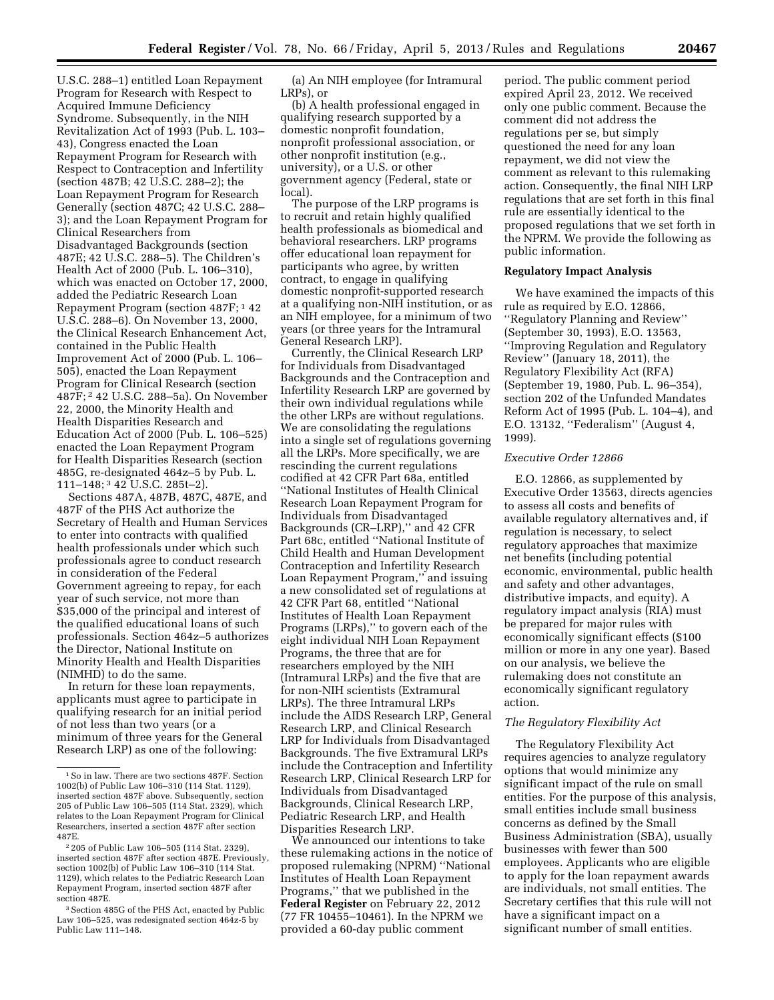U.S.C. 288–1) entitled Loan Repayment Program for Research with Respect to Acquired Immune Deficiency Syndrome. Subsequently, in the NIH Revitalization Act of 1993 (Pub. L. 103– 43), Congress enacted the Loan Repayment Program for Research with Respect to Contraception and Infertility (section 487B; 42 U.S.C. 288–2); the Loan Repayment Program for Research Generally (section 487C; 42 U.S.C. 288– 3); and the Loan Repayment Program for Clinical Researchers from Disadvantaged Backgrounds (section 487E; 42 U.S.C. 288–5). The Children's Health Act of 2000 (Pub. L. 106–310), which was enacted on October 17, 2000, added the Pediatric Research Loan Repayment Program (section 487F; 1 42 U.S.C. 288–6). On November 13, 2000, the Clinical Research Enhancement Act, contained in the Public Health Improvement Act of 2000 (Pub. L. 106– 505), enacted the Loan Repayment Program for Clinical Research (section 487F; 2 42 U.S.C. 288–5a). On November 22, 2000, the Minority Health and Health Disparities Research and Education Act of 2000 (Pub. L. 106–525) enacted the Loan Repayment Program for Health Disparities Research (section 485G, re-designated 464z–5 by Pub. L. 111–148; 3 42 U.S.C. 285t–2).

Sections 487A, 487B, 487C, 487E, and 487F of the PHS Act authorize the Secretary of Health and Human Services to enter into contracts with qualified health professionals under which such professionals agree to conduct research in consideration of the Federal Government agreeing to repay, for each year of such service, not more than \$35,000 of the principal and interest of the qualified educational loans of such professionals. Section 464z–5 authorizes the Director, National Institute on Minority Health and Health Disparities (NIMHD) to do the same.

In return for these loan repayments, applicants must agree to participate in qualifying research for an initial period of not less than two years (or a minimum of three years for the General Research LRP) as one of the following:

(a) An NIH employee (for Intramural LRPs), or

(b) A health professional engaged in qualifying research supported by a domestic nonprofit foundation, nonprofit professional association, or other nonprofit institution (e.g., university), or a U.S. or other government agency (Federal, state or local).

The purpose of the LRP programs is to recruit and retain highly qualified health professionals as biomedical and behavioral researchers. LRP programs offer educational loan repayment for participants who agree, by written contract, to engage in qualifying domestic nonprofit-supported research at a qualifying non-NIH institution, or as an NIH employee, for a minimum of two years (or three years for the Intramural General Research LRP).

Currently, the Clinical Research LRP for Individuals from Disadvantaged Backgrounds and the Contraception and Infertility Research LRP are governed by their own individual regulations while the other LRPs are without regulations. We are consolidating the regulations into a single set of regulations governing all the LRPs. More specifically, we are rescinding the current regulations codified at 42 CFR Part 68a, entitled ''National Institutes of Health Clinical Research Loan Repayment Program for Individuals from Disadvantaged Backgrounds (CR–LRP),'' and 42 CFR Part 68c, entitled ''National Institute of Child Health and Human Development Contraception and Infertility Research Loan Repayment Program,'' and issuing a new consolidated set of regulations at 42 CFR Part 68, entitled ''National Institutes of Health Loan Repayment Programs (LRPs),'' to govern each of the eight individual NIH Loan Repayment Programs, the three that are for researchers employed by the NIH (Intramural LRPs) and the five that are for non-NIH scientists (Extramural LRPs). The three Intramural LRPs include the AIDS Research LRP, General Research LRP, and Clinical Research LRP for Individuals from Disadvantaged Backgrounds. The five Extramural LRPs include the Contraception and Infertility Research LRP, Clinical Research LRP for Individuals from Disadvantaged Backgrounds, Clinical Research LRP, Pediatric Research LRP, and Health Disparities Research LRP.

We announced our intentions to take these rulemaking actions in the notice of proposed rulemaking (NPRM) ''National Institutes of Health Loan Repayment Programs,'' that we published in the **Federal Register** on February 22, 2012 (77 FR 10455–10461). In the NPRM we provided a 60-day public comment

period. The public comment period expired April 23, 2012. We received only one public comment. Because the comment did not address the regulations per se, but simply questioned the need for any loan repayment, we did not view the comment as relevant to this rulemaking action. Consequently, the final NIH LRP regulations that are set forth in this final rule are essentially identical to the proposed regulations that we set forth in the NPRM. We provide the following as public information.

#### **Regulatory Impact Analysis**

We have examined the impacts of this rule as required by E.O. 12866, ''Regulatory Planning and Review'' (September 30, 1993), E.O. 13563, ''Improving Regulation and Regulatory Review'' (January 18, 2011), the Regulatory Flexibility Act (RFA) (September 19, 1980, Pub. L. 96–354), section 202 of the Unfunded Mandates Reform Act of 1995 (Pub. L. 104–4), and E.O. 13132, ''Federalism'' (August 4, 1999).

# *Executive Order 12866*

E.O. 12866, as supplemented by Executive Order 13563, directs agencies to assess all costs and benefits of available regulatory alternatives and, if regulation is necessary, to select regulatory approaches that maximize net benefits (including potential economic, environmental, public health and safety and other advantages, distributive impacts, and equity). A regulatory impact analysis (RIA) must be prepared for major rules with economically significant effects (\$100 million or more in any one year). Based on our analysis, we believe the rulemaking does not constitute an economically significant regulatory action.

# *The Regulatory Flexibility Act*

The Regulatory Flexibility Act requires agencies to analyze regulatory options that would minimize any significant impact of the rule on small entities. For the purpose of this analysis, small entities include small business concerns as defined by the Small Business Administration (SBA), usually businesses with fewer than 500 employees. Applicants who are eligible to apply for the loan repayment awards are individuals, not small entities. The Secretary certifies that this rule will not have a significant impact on a significant number of small entities.

<sup>1</sup>So in law. There are two sections 487F. Section 1002(b) of Public Law 106–310 (114 Stat. 1129), inserted section 487F above. Subsequently, section 205 of Public Law 106–505 (114 Stat. 2329), which relates to the Loan Repayment Program for Clinical Researchers, inserted a section 487F after section 487E.

<sup>2</sup> 205 of Public Law 106–505 (114 Stat. 2329), inserted section 487F after section 487E. Previously, section 1002(b) of Public Law 106–310 (114 Stat. 1129), which relates to the Pediatric Research Loan Repayment Program, inserted section 487F after section 487E.

<sup>3</sup>Section 485G of the PHS Act, enacted by Public Law 106–525, was redesignated section 464z-5 by Public Law 111–148.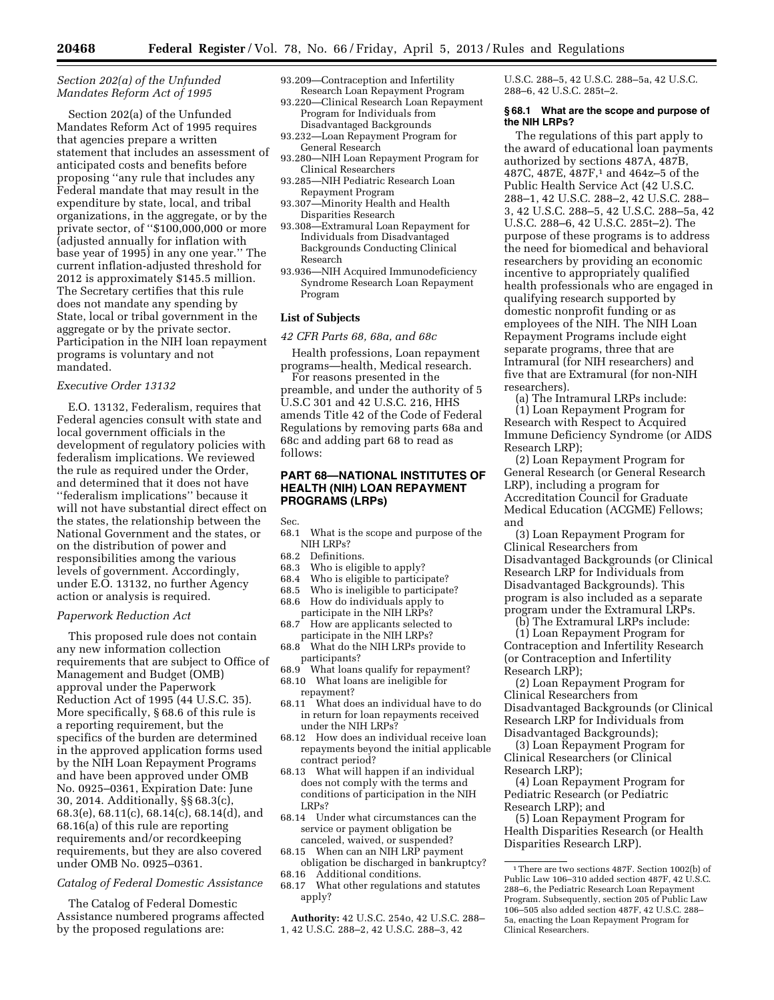## *Section 202(a) of the Unfunded Mandates Reform Act of 1995*

Section 202(a) of the Unfunded Mandates Reform Act of 1995 requires that agencies prepare a written statement that includes an assessment of anticipated costs and benefits before proposing ''any rule that includes any Federal mandate that may result in the expenditure by state, local, and tribal organizations, in the aggregate, or by the private sector, of ''\$100,000,000 or more (adjusted annually for inflation with base year of 1995) in any one year.'' The current inflation-adjusted threshold for 2012 is approximately \$145.5 million. The Secretary certifies that this rule does not mandate any spending by State, local or tribal government in the aggregate or by the private sector. Participation in the NIH loan repayment programs is voluntary and not mandated.

# *Executive Order 13132*

E.O. 13132, Federalism, requires that Federal agencies consult with state and local government officials in the development of regulatory policies with federalism implications. We reviewed the rule as required under the Order, and determined that it does not have ''federalism implications'' because it will not have substantial direct effect on the states, the relationship between the National Government and the states, or on the distribution of power and responsibilities among the various levels of government. Accordingly, under E.O. 13132, no further Agency action or analysis is required.

### *Paperwork Reduction Act*

This proposed rule does not contain any new information collection requirements that are subject to Office of Management and Budget (OMB) approval under the Paperwork Reduction Act of 1995 (44 U.S.C. 35). More specifically, § 68.6 of this rule is a reporting requirement, but the specifics of the burden are determined in the approved application forms used by the NIH Loan Repayment Programs and have been approved under OMB No. 0925–0361, Expiration Date: June 30, 2014. Additionally, §§ 68.3(c), 68.3(e), 68.11(c), 68.14(c), 68.14(d), and 68.16(a) of this rule are reporting requirements and/or recordkeeping requirements, but they are also covered under OMB No. 0925–0361.

# *Catalog of Federal Domestic Assistance*

The Catalog of Federal Domestic Assistance numbered programs affected by the proposed regulations are:

- 93.209—Contraception and Infertility Research Loan Repayment Program
- 93.220—Clinical Research Loan Repayment Program for Individuals from Disadvantaged Backgrounds
- 93.232—Loan Repayment Program for General Research
- 93.280—NIH Loan Repayment Program for Clinical Researchers
- 93.285—NIH Pediatric Research Loan Repayment Program
- 93.307—Minority Health and Health Disparities Research
- 93.308—Extramural Loan Repayment for Individuals from Disadvantaged Backgrounds Conducting Clinical Research
- 93.936—NIH Acquired Immunodeficiency Syndrome Research Loan Repayment Program

# **List of Subjects**

*42 CFR Parts 68, 68a, and 68c* 

Health professions, Loan repayment programs—health, Medical research.

For reasons presented in the preamble, and under the authority of 5 U.S.C 301 and 42 U.S.C. 216, HHS amends Title 42 of the Code of Federal Regulations by removing parts 68a and 68c and adding part 68 to read as follows:

## **PART 68—NATIONAL INSTITUTES OF HEALTH (NIH) LOAN REPAYMENT PROGRAMS (LRPs)**

- Sec.<br>68.1 What is the scope and purpose of the NIH LRPs?
- 68.2 Definitions.<br>68.3 Who is eligi
- Who is eligible to apply?
- 68.4 Who is eligible to participate?
- 68.5 Who is ineligible to participate?
- 68.6 How do individuals apply to
- participate in the NIH LRPs?
- 68.7 How are applicants selected to participate in the NIH LRPs?
- 68.8 What do the NIH LRPs provide to participants?
- 68.9 What loans qualify for repayment?
- 68.10 What loans are ineligible for
- repayment? 68.11 What does an individual have to do in return for loan repayments received
- under the NIH LRPs? 68.12 How does an individual receive loan repayments beyond the initial applicable
- contract period? 68.13 What will happen if an individual
- does not comply with the terms and conditions of participation in the NIH LRPs?
- 68.14 Under what circumstances can the service or payment obligation be canceled, waived, or suspended?
- 68.15 When can an NIH LRP payment obligation be discharged in bankruptcy?
- 68.16 Additional conditions.
- 68.17 What other regulations and statutes apply?
- **Authority:** 42 U.S.C. 254o, 42 U.S.C. 288– 1, 42 U.S.C. 288–2, 42 U.S.C. 288–3, 42

U.S.C. 288–5, 42 U.S.C. 288–5a, 42 U.S.C. 288–6, 42 U.S.C. 285t–2.

#### **§ 68.1 What are the scope and purpose of the NIH LRPs?**

The regulations of this part apply to the award of educational loan payments authorized by sections 487A, 487B, 487C, 487E, 487F,1 and 464z–5 of the Public Health Service Act (42 U.S.C. 288–1, 42 U.S.C. 288–2, 42 U.S.C. 288– 3, 42 U.S.C. 288–5, 42 U.S.C. 288–5a, 42 U.S.C. 288–6, 42 U.S.C. 285t–2). The purpose of these programs is to address the need for biomedical and behavioral researchers by providing an economic incentive to appropriately qualified health professionals who are engaged in qualifying research supported by domestic nonprofit funding or as employees of the NIH. The NIH Loan Repayment Programs include eight separate programs, three that are Intramural (for NIH researchers) and five that are Extramural (for non-NIH researchers).

(a) The Intramural LRPs include: (1) Loan Repayment Program for Research with Respect to Acquired Immune Deficiency Syndrome (or AIDS Research LRP);

(2) Loan Repayment Program for General Research (or General Research LRP), including a program for Accreditation Council for Graduate Medical Education (ACGME) Fellows; and

(3) Loan Repayment Program for Clinical Researchers from Disadvantaged Backgrounds (or Clinical Research LRP for Individuals from Disadvantaged Backgrounds). This program is also included as a separate program under the Extramural LRPs.

(b) The Extramural LRPs include:

(1) Loan Repayment Program for Contraception and Infertility Research (or Contraception and Infertility Research LRP);

(2) Loan Repayment Program for Clinical Researchers from Disadvantaged Backgrounds (or Clinical Research LRP for Individuals from Disadvantaged Backgrounds);

(3) Loan Repayment Program for Clinical Researchers (or Clinical Research LRP);

(4) Loan Repayment Program for Pediatric Research (or Pediatric Research LRP); and

(5) Loan Repayment Program for Health Disparities Research (or Health Disparities Research LRP).

<sup>1</sup>There are two sections 487F. Section 1002(b) of Public Law 106–310 added section 487F, 42 U.S.C. 288–6, the Pediatric Research Loan Repayment Program. Subsequently, section 205 of Public Law 106–505 also added section 487F, 42 U.S.C. 288– 5a, enacting the Loan Repayment Program for Clinical Researchers.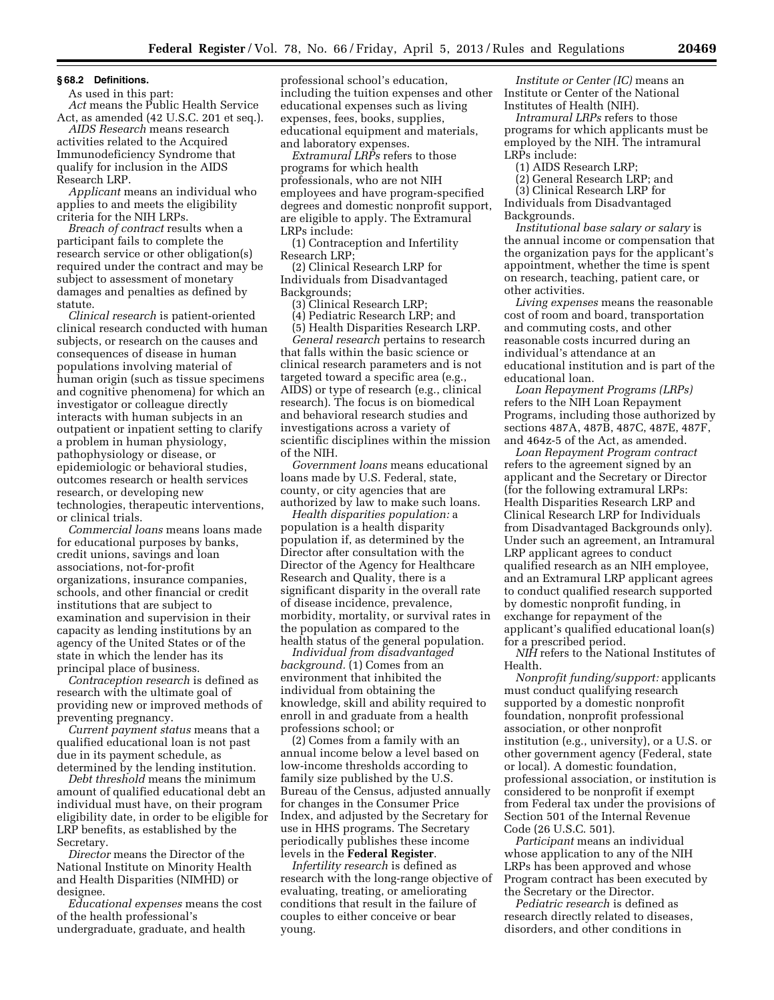#### **§ 68.2 Definitions.**

As used in this part:

*Act* means the Public Health Service Act, as amended (42 U.S.C. 201 et seq.).

*AIDS Research* means research activities related to the Acquired Immunodeficiency Syndrome that qualify for inclusion in the AIDS Research LRP.

*Applicant* means an individual who applies to and meets the eligibility criteria for the NIH LRPs.

*Breach of contract* results when a participant fails to complete the research service or other obligation(s) required under the contract and may be subject to assessment of monetary damages and penalties as defined by statute.

*Clinical research* is patient-oriented clinical research conducted with human subjects, or research on the causes and consequences of disease in human populations involving material of human origin (such as tissue specimens and cognitive phenomena) for which an investigator or colleague directly interacts with human subjects in an outpatient or inpatient setting to clarify a problem in human physiology, pathophysiology or disease, or epidemiologic or behavioral studies, outcomes research or health services research, or developing new technologies, therapeutic interventions, or clinical trials.

*Commercial loans* means loans made for educational purposes by banks, credit unions, savings and loan associations, not-for-profit organizations, insurance companies, schools, and other financial or credit institutions that are subject to examination and supervision in their capacity as lending institutions by an agency of the United States or of the state in which the lender has its principal place of business.

*Contraception research* is defined as research with the ultimate goal of providing new or improved methods of preventing pregnancy.

*Current payment status* means that a qualified educational loan is not past due in its payment schedule, as determined by the lending institution.

*Debt threshold* means the minimum amount of qualified educational debt an individual must have, on their program eligibility date, in order to be eligible for LRP benefits, as established by the Secretary.

*Director* means the Director of the National Institute on Minority Health and Health Disparities (NIMHD) or designee.

*Educational expenses* means the cost of the health professional's undergraduate, graduate, and health

professional school's education, including the tuition expenses and other educational expenses such as living expenses, fees, books, supplies, educational equipment and materials, and laboratory expenses.

*Extramural LRPs* refers to those programs for which health professionals, who are not NIH employees and have program-specified degrees and domestic nonprofit support, are eligible to apply. The Extramural LRPs include:

(1) Contraception and Infertility Research LRP;

(2) Clinical Research LRP for Individuals from Disadvantaged Backgrounds;

(3) Clinical Research LRP;

(4) Pediatric Research LRP; and

(5) Health Disparities Research LRP.

*General research* pertains to research that falls within the basic science or clinical research parameters and is not targeted toward a specific area (e.g., AIDS) or type of research (e.g., clinical research). The focus is on biomedical and behavioral research studies and investigations across a variety of scientific disciplines within the mission of the NIH.

*Government loans* means educational loans made by U.S. Federal, state, county, or city agencies that are authorized by law to make such loans.

*Health disparities population:* a population is a health disparity population if, as determined by the Director after consultation with the Director of the Agency for Healthcare Research and Quality, there is a significant disparity in the overall rate of disease incidence, prevalence, morbidity, mortality, or survival rates in the population as compared to the health status of the general population.

*Individual from disadvantaged background.* (1) Comes from an environment that inhibited the individual from obtaining the knowledge, skill and ability required to enroll in and graduate from a health professions school; or

(2) Comes from a family with an annual income below a level based on low-income thresholds according to family size published by the U.S. Bureau of the Census, adjusted annually for changes in the Consumer Price Index, and adjusted by the Secretary for use in HHS programs. The Secretary periodically publishes these income levels in the **Federal Register**.

*Infertility research* is defined as research with the long-range objective of evaluating, treating, or ameliorating conditions that result in the failure of couples to either conceive or bear young.

*Institute or Center (IC)* means an Institute or Center of the National Institutes of Health (NIH).

*Intramural LRPs* refers to those programs for which applicants must be employed by the NIH. The intramural LRPs include:

(1) AIDS Research LRP;

(2) General Research LRP; and

(3) Clinical Research LRP for Individuals from Disadvantaged Backgrounds.

*Institutional base salary or salary* is the annual income or compensation that the organization pays for the applicant's appointment, whether the time is spent on research, teaching, patient care, or other activities.

*Living expenses* means the reasonable cost of room and board, transportation and commuting costs, and other reasonable costs incurred during an individual's attendance at an educational institution and is part of the educational loan.

*Loan Repayment Programs (LRPs)*  refers to the NIH Loan Repayment Programs, including those authorized by sections 487A, 487B, 487C, 487E, 487F, and 464z-5 of the Act, as amended.

*Loan Repayment Program contract*  refers to the agreement signed by an applicant and the Secretary or Director (for the following extramural LRPs: Health Disparities Research LRP and Clinical Research LRP for Individuals from Disadvantaged Backgrounds only). Under such an agreement, an Intramural LRP applicant agrees to conduct qualified research as an NIH employee, and an Extramural LRP applicant agrees to conduct qualified research supported by domestic nonprofit funding, in exchange for repayment of the applicant's qualified educational loan(s) for a prescribed period.

*NIH* refers to the National Institutes of Health.

*Nonprofit funding/support:* applicants must conduct qualifying research supported by a domestic nonprofit foundation, nonprofit professional association, or other nonprofit institution (e.g., university), or a U.S. or other government agency (Federal, state or local). A domestic foundation, professional association, or institution is considered to be nonprofit if exempt from Federal tax under the provisions of Section 501 of the Internal Revenue Code (26 U.S.C. 501).

*Participant* means an individual whose application to any of the NIH LRPs has been approved and whose Program contract has been executed by the Secretary or the Director.

*Pediatric research* is defined as research directly related to diseases, disorders, and other conditions in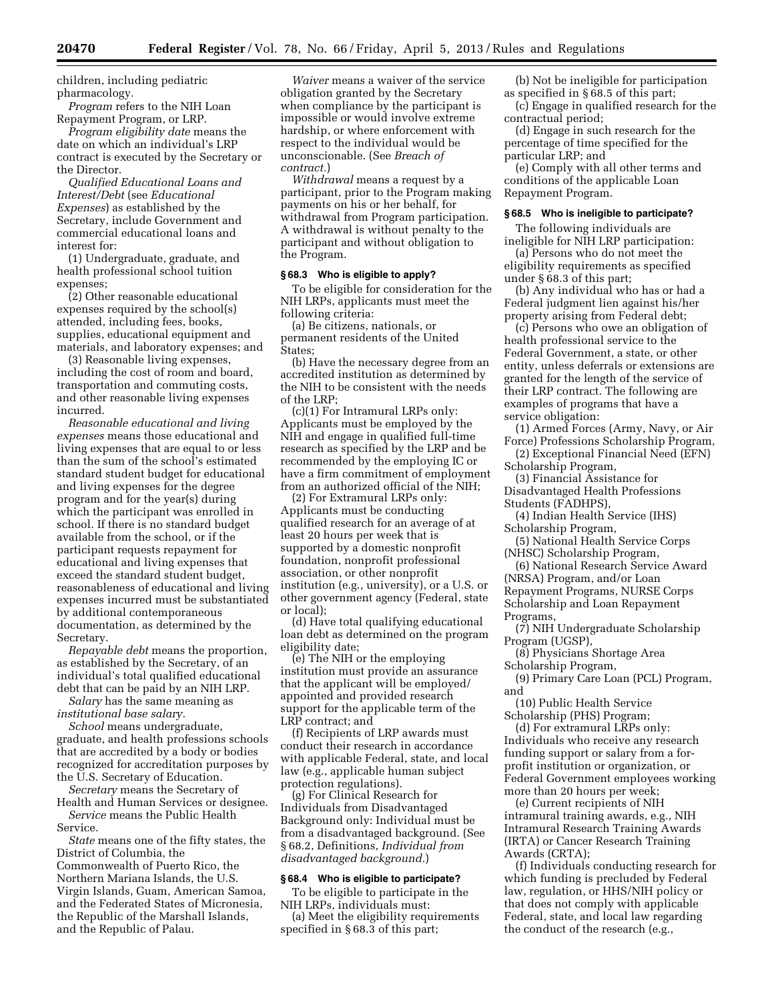children, including pediatric pharmacology.

*Program* refers to the NIH Loan Repayment Program, or LRP.

*Program eligibility date* means the date on which an individual's LRP contract is executed by the Secretary or the Director.

*Qualified Educational Loans and Interest/Debt* (see *Educational Expenses*) as established by the Secretary, include Government and commercial educational loans and interest for:

(1) Undergraduate, graduate, and health professional school tuition expenses;

(2) Other reasonable educational expenses required by the school(s) attended, including fees, books, supplies, educational equipment and materials, and laboratory expenses; and

(3) Reasonable living expenses, including the cost of room and board, transportation and commuting costs, and other reasonable living expenses incurred.

*Reasonable educational and living expenses* means those educational and living expenses that are equal to or less than the sum of the school's estimated standard student budget for educational and living expenses for the degree program and for the year(s) during which the participant was enrolled in school. If there is no standard budget available from the school, or if the participant requests repayment for educational and living expenses that exceed the standard student budget, reasonableness of educational and living expenses incurred must be substantiated by additional contemporaneous documentation, as determined by the Secretary.

*Repayable debt* means the proportion, as established by the Secretary, of an individual's total qualified educational debt that can be paid by an NIH LRP.

*Salary* has the same meaning as *institutional base salary.* 

*School* means undergraduate, graduate, and health professions schools that are accredited by a body or bodies recognized for accreditation purposes by the U.S. Secretary of Education.

*Secretary* means the Secretary of Health and Human Services or designee. *Service* means the Public Health

Service.

*State* means one of the fifty states, the District of Columbia, the Commonwealth of Puerto Rico, the Northern Mariana Islands, the U.S. Virgin Islands, Guam, American Samoa, and the Federated States of Micronesia, the Republic of the Marshall Islands, and the Republic of Palau.

*Waiver* means a waiver of the service obligation granted by the Secretary when compliance by the participant is impossible or would involve extreme hardship, or where enforcement with respect to the individual would be unconscionable. (See *Breach of contract.*)

*Withdrawal* means a request by a participant, prior to the Program making payments on his or her behalf, for withdrawal from Program participation. A withdrawal is without penalty to the participant and without obligation to the Program.

# **§ 68.3 Who is eligible to apply?**

To be eligible for consideration for the NIH LRPs, applicants must meet the following criteria:

(a) Be citizens, nationals, or permanent residents of the United States;

(b) Have the necessary degree from an accredited institution as determined by the NIH to be consistent with the needs of the LRP;

(c)(1) For Intramural LRPs only: Applicants must be employed by the NIH and engage in qualified full-time research as specified by the LRP and be recommended by the employing IC or have a firm commitment of employment from an authorized official of the NIH;

(2) For Extramural LRPs only: Applicants must be conducting qualified research for an average of at least 20 hours per week that is supported by a domestic nonprofit foundation, nonprofit professional association, or other nonprofit institution (e.g., university), or a U.S. or other government agency (Federal, state or local);

(d) Have total qualifying educational loan debt as determined on the program eligibility date;

(e) The NIH or the employing institution must provide an assurance that the applicant will be employed/ appointed and provided research support for the applicable term of the LRP contract; and

(f) Recipients of LRP awards must conduct their research in accordance with applicable Federal, state, and local law (e.g., applicable human subject protection regulations).

(g) For Clinical Research for Individuals from Disadvantaged Background only: Individual must be from a disadvantaged background. (See § 68.2, Definitions, *Individual from disadvantaged background.*)

#### **§ 68.4 Who is eligible to participate?**

To be eligible to participate in the NIH LRPs, individuals must:

(a) Meet the eligibility requirements specified in § 68.3 of this part;

(b) Not be ineligible for participation as specified in § 68.5 of this part;

(c) Engage in qualified research for the contractual period;

(d) Engage in such research for the percentage of time specified for the particular LRP; and

(e) Comply with all other terms and conditions of the applicable Loan Repayment Program.

### **§ 68.5 Who is ineligible to participate?**

The following individuals are ineligible for NIH LRP participation:

(a) Persons who do not meet the eligibility requirements as specified under § 68.3 of this part;

(b) Any individual who has or had a Federal judgment lien against his/her property arising from Federal debt;

(c) Persons who owe an obligation of health professional service to the Federal Government, a state, or other entity, unless deferrals or extensions are granted for the length of the service of their LRP contract. The following are examples of programs that have a service obligation:

(1) Armed Forces (Army, Navy, or Air Force) Professions Scholarship Program,

(2) Exceptional Financial Need (EFN) Scholarship Program,

(3) Financial Assistance for Disadvantaged Health Professions Students (FADHPS),

(4) Indian Health Service (IHS) Scholarship Program,

(5) National Health Service Corps (NHSC) Scholarship Program,

(6) National Research Service Award

(NRSA) Program, and/or Loan Repayment Programs, NURSE Corps

Scholarship and Loan Repayment

Programs,

(7) NIH Undergraduate Scholarship Program (UGSP),

(8) Physicians Shortage Area

Scholarship Program,

(9) Primary Care Loan (PCL) Program, and

(10) Public Health Service Scholarship (PHS) Program;

(d) For extramural LRPs only: Individuals who receive any research funding support or salary from a forprofit institution or organization, or Federal Government employees working more than 20 hours per week;

(e) Current recipients of NIH intramural training awards, e.g., NIH Intramural Research Training Awards (IRTA) or Cancer Research Training Awards (CRTA);

(f) Individuals conducting research for which funding is precluded by Federal law, regulation, or HHS/NIH policy or that does not comply with applicable Federal, state, and local law regarding the conduct of the research (e.g.,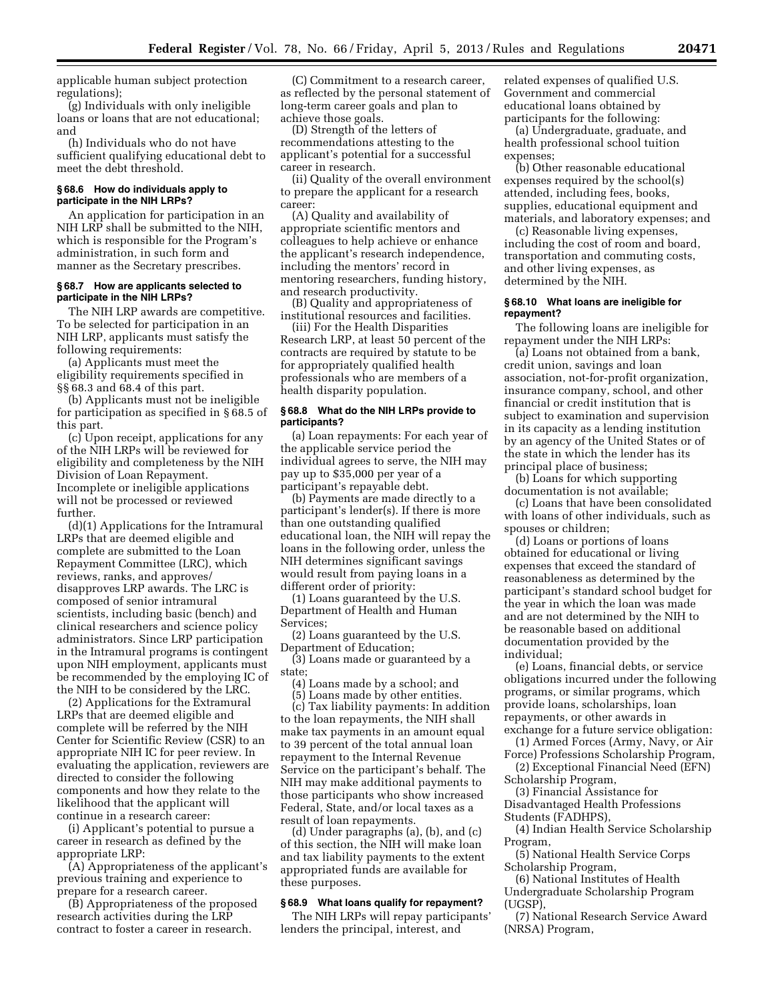applicable human subject protection regulations);

(g) Individuals with only ineligible loans or loans that are not educational; and

(h) Individuals who do not have sufficient qualifying educational debt to meet the debt threshold.

### **§ 68.6 How do individuals apply to participate in the NIH LRPs?**

An application for participation in an NIH LRP shall be submitted to the NIH, which is responsible for the Program's administration, in such form and manner as the Secretary prescribes.

# **§ 68.7 How are applicants selected to participate in the NIH LRPs?**

The NIH LRP awards are competitive. To be selected for participation in an NIH LRP, applicants must satisfy the following requirements:

(a) Applicants must meet the eligibility requirements specified in §§ 68.3 and 68.4 of this part.

(b) Applicants must not be ineligible for participation as specified in § 68.5 of this part.

(c) Upon receipt, applications for any of the NIH LRPs will be reviewed for eligibility and completeness by the NIH Division of Loan Repayment. Incomplete or ineligible applications will not be processed or reviewed further.

(d)(1) Applications for the Intramural LRPs that are deemed eligible and complete are submitted to the Loan Repayment Committee (LRC), which reviews, ranks, and approves/ disapproves LRP awards. The LRC is composed of senior intramural scientists, including basic (bench) and clinical researchers and science policy administrators. Since LRP participation in the Intramural programs is contingent upon NIH employment, applicants must be recommended by the employing IC of the NIH to be considered by the LRC.

(2) Applications for the Extramural LRPs that are deemed eligible and complete will be referred by the NIH Center for Scientific Review (CSR) to an appropriate NIH IC for peer review. In evaluating the application, reviewers are directed to consider the following components and how they relate to the likelihood that the applicant will continue in a research career:

(i) Applicant's potential to pursue a career in research as defined by the appropriate LRP:

(A) Appropriateness of the applicant's previous training and experience to prepare for a research career.

(B) Appropriateness of the proposed research activities during the LRP contract to foster a career in research.

(C) Commitment to a research career, as reflected by the personal statement of long-term career goals and plan to achieve those goals.

(D) Strength of the letters of recommendations attesting to the applicant's potential for a successful career in research.

(ii) Quality of the overall environment to prepare the applicant for a research career:

(A) Quality and availability of appropriate scientific mentors and colleagues to help achieve or enhance the applicant's research independence, including the mentors' record in mentoring researchers, funding history, and research productivity.

(B) Quality and appropriateness of institutional resources and facilities.

(iii) For the Health Disparities Research LRP, at least 50 percent of the contracts are required by statute to be for appropriately qualified health professionals who are members of a health disparity population.

## **§ 68.8 What do the NIH LRPs provide to participants?**

(a) Loan repayments: For each year of the applicable service period the individual agrees to serve, the NIH may pay up to \$35,000 per year of a participant's repayable debt.

(b) Payments are made directly to a participant's lender(s). If there is more than one outstanding qualified educational loan, the NIH will repay the loans in the following order, unless the NIH determines significant savings would result from paying loans in a different order of priority:

(1) Loans guaranteed by the U.S. Department of Health and Human Services;

(2) Loans guaranteed by the U.S. Department of Education;

(3) Loans made or guaranteed by a state;

(4) Loans made by a school; and

(5) Loans made by other entities. (c) Tax liability payments: In addition

to the loan repayments, the NIH shall make tax payments in an amount equal to 39 percent of the total annual loan repayment to the Internal Revenue Service on the participant's behalf. The NIH may make additional payments to those participants who show increased Federal, State, and/or local taxes as a result of loan repayments.

(d) Under paragraphs (a), (b), and (c) of this section, the NIH will make loan and tax liability payments to the extent appropriated funds are available for these purposes.

# **§ 68.9 What loans qualify for repayment?**

The NIH LRPs will repay participants' lenders the principal, interest, and

related expenses of qualified U.S. Government and commercial educational loans obtained by participants for the following:

(a) Undergraduate, graduate, and health professional school tuition expenses;

(b) Other reasonable educational expenses required by the school(s) attended, including fees, books, supplies, educational equipment and materials, and laboratory expenses; and

(c) Reasonable living expenses, including the cost of room and board, transportation and commuting costs, and other living expenses, as determined by the NIH.

#### **§ 68.10 What loans are ineligible for repayment?**

The following loans are ineligible for repayment under the NIH LRPs:

(a) Loans not obtained from a bank, credit union, savings and loan association, not-for-profit organization, insurance company, school, and other financial or credit institution that is subject to examination and supervision in its capacity as a lending institution by an agency of the United States or of the state in which the lender has its principal place of business;

(b) Loans for which supporting documentation is not available;

(c) Loans that have been consolidated with loans of other individuals, such as spouses or children;

(d) Loans or portions of loans obtained for educational or living expenses that exceed the standard of reasonableness as determined by the participant's standard school budget for the year in which the loan was made and are not determined by the NIH to be reasonable based on additional documentation provided by the individual;

(e) Loans, financial debts, or service obligations incurred under the following programs, or similar programs, which provide loans, scholarships, loan repayments, or other awards in exchange for a future service obligation:

(1) Armed Forces (Army, Navy, or Air Force) Professions Scholarship Program,

(2) Exceptional Financial Need (EFN) Scholarship Program,

(3) Financial Assistance for

Disadvantaged Health Professions Students (FADHPS),

(4) Indian Health Service Scholarship Program,

(5) National Health Service Corps Scholarship Program,

(6) National Institutes of Health Undergraduate Scholarship Program (UGSP),

(7) National Research Service Award (NRSA) Program,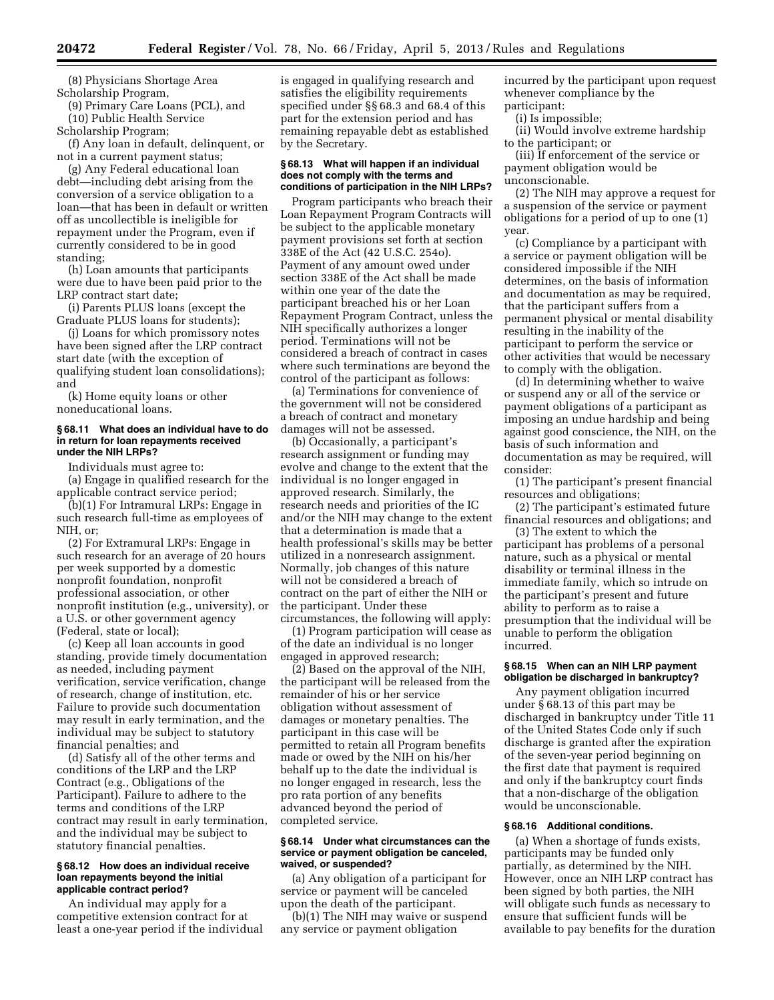(8) Physicians Shortage Area Scholarship Program,

(9) Primary Care Loans (PCL), and (10) Public Health Service

Scholarship Program; (f) Any loan in default, delinquent, or

not in a current payment status; (g) Any Federal educational loan debt—including debt arising from the conversion of a service obligation to a loan—that has been in default or written off as uncollectible is ineligible for repayment under the Program, even if currently considered to be in good standing;

(h) Loan amounts that participants were due to have been paid prior to the LRP contract start date;

(i) Parents PLUS loans (except the Graduate PLUS loans for students);

(j) Loans for which promissory notes have been signed after the LRP contract start date (with the exception of qualifying student loan consolidations); and

(k) Home equity loans or other noneducational loans.

#### **§ 68.11 What does an individual have to do in return for loan repayments received under the NIH LRPs?**

Individuals must agree to:

(a) Engage in qualified research for the applicable contract service period;

(b)(1) For Intramural LRPs: Engage in such research full-time as employees of NIH, or;

(2) For Extramural LRPs: Engage in such research for an average of 20 hours per week supported by a domestic nonprofit foundation, nonprofit professional association, or other nonprofit institution (e.g., university), or a U.S. or other government agency (Federal, state or local);

(c) Keep all loan accounts in good standing, provide timely documentation as needed, including payment verification, service verification, change of research, change of institution, etc. Failure to provide such documentation may result in early termination, and the individual may be subject to statutory financial penalties; and

(d) Satisfy all of the other terms and conditions of the LRP and the LRP Contract (e.g., Obligations of the Participant). Failure to adhere to the terms and conditions of the LRP contract may result in early termination, and the individual may be subject to statutory financial penalties.

#### **§ 68.12 How does an individual receive loan repayments beyond the initial applicable contract period?**

An individual may apply for a competitive extension contract for at least a one-year period if the individual

is engaged in qualifying research and satisfies the eligibility requirements specified under §§ 68.3 and 68.4 of this part for the extension period and has remaining repayable debt as established by the Secretary.

#### **§ 68.13 What will happen if an individual does not comply with the terms and conditions of participation in the NIH LRPs?**

Program participants who breach their Loan Repayment Program Contracts will be subject to the applicable monetary payment provisions set forth at section 338E of the Act (42 U.S.C. 254o). Payment of any amount owed under section 338E of the Act shall be made within one year of the date the participant breached his or her Loan Repayment Program Contract, unless the NIH specifically authorizes a longer period. Terminations will not be considered a breach of contract in cases where such terminations are beyond the control of the participant as follows:

(a) Terminations for convenience of the government will not be considered a breach of contract and monetary damages will not be assessed.

(b) Occasionally, a participant's research assignment or funding may evolve and change to the extent that the individual is no longer engaged in approved research. Similarly, the research needs and priorities of the IC and/or the NIH may change to the extent that a determination is made that a health professional's skills may be better utilized in a nonresearch assignment. Normally, job changes of this nature will not be considered a breach of contract on the part of either the NIH or the participant. Under these circumstances, the following will apply:

(1) Program participation will cease as of the date an individual is no longer engaged in approved research;

(2) Based on the approval of the NIH, the participant will be released from the remainder of his or her service obligation without assessment of damages or monetary penalties. The participant in this case will be permitted to retain all Program benefits made or owed by the NIH on his/her behalf up to the date the individual is no longer engaged in research, less the pro rata portion of any benefits advanced beyond the period of completed service.

#### **§ 68.14 Under what circumstances can the service or payment obligation be canceled, waived, or suspended?**

(a) Any obligation of a participant for service or payment will be canceled upon the death of the participant.

(b)(1) The NIH may waive or suspend any service or payment obligation

incurred by the participant upon request whenever compliance by the participant:

(i) Is impossible;

(ii) Would involve extreme hardship to the participant; or

(iii) If enforcement of the service or payment obligation would be unconscionable.

(2) The NIH may approve a request for a suspension of the service or payment obligations for a period of up to one (1) year

(c) Compliance by a participant with a service or payment obligation will be considered impossible if the NIH determines, on the basis of information and documentation as may be required, that the participant suffers from a permanent physical or mental disability resulting in the inability of the participant to perform the service or other activities that would be necessary to comply with the obligation.

(d) In determining whether to waive or suspend any or all of the service or payment obligations of a participant as imposing an undue hardship and being against good conscience, the NIH, on the basis of such information and documentation as may be required, will consider:

(1) The participant's present financial resources and obligations;

(2) The participant's estimated future financial resources and obligations; and

(3) The extent to which the participant has problems of a personal nature, such as a physical or mental disability or terminal illness in the immediate family, which so intrude on the participant's present and future ability to perform as to raise a presumption that the individual will be unable to perform the obligation incurred.

### **§ 68.15 When can an NIH LRP payment obligation be discharged in bankruptcy?**

Any payment obligation incurred under § 68.13 of this part may be discharged in bankruptcy under Title 11 of the United States Code only if such discharge is granted after the expiration of the seven-year period beginning on the first date that payment is required and only if the bankruptcy court finds that a non-discharge of the obligation would be unconscionable.

## **§ 68.16 Additional conditions.**

(a) When a shortage of funds exists, participants may be funded only partially, as determined by the NIH. However, once an NIH LRP contract has been signed by both parties, the NIH will obligate such funds as necessary to ensure that sufficient funds will be available to pay benefits for the duration